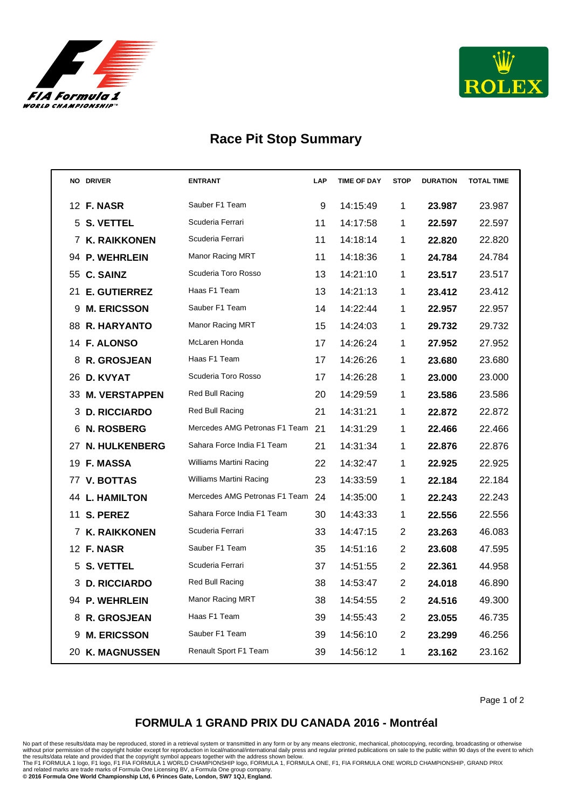



## **Race Pit Stop Summary**

|    | <b>NO DRIVER</b>      | <b>ENTRANT</b>                 | LAP | <b>TIME OF DAY</b> | <b>STOP</b>    | <b>DURATION</b> | <b>TOTAL TIME</b> |
|----|-----------------------|--------------------------------|-----|--------------------|----------------|-----------------|-------------------|
|    | 12 <b>F. NASR</b>     | Sauber F1 Team                 | 9   | 14:15:49           | 1              | 23.987          | 23.987            |
|    | 5 S. VETTEL           | Scuderia Ferrari               | 11  | 14:17:58           | 1              | 22.597          | 22.597            |
|    | 7 K. RAIKKONEN        | Scuderia Ferrari               | 11  | 14:18:14           | 1              | 22.820          | 22.820            |
|    | 94 P. WEHRLEIN        | Manor Racing MRT               | 11  | 14:18:36           | 1              | 24.784          | 24.784            |
| 55 | <b>C. SAINZ</b>       | Scuderia Toro Rosso            | 13  | 14:21:10           | 1              | 23.517          | 23.517            |
| 21 | <b>E. GUTIERREZ</b>   | Haas F1 Team                   | 13  | 14:21:13           | 1              | 23.412          | 23.412            |
| 9  | <b>M. ERICSSON</b>    | Sauber F1 Team                 | 14  | 14:22:44           | 1              | 22.957          | 22.957            |
|    | 88 R. HARYANTO        | <b>Manor Racing MRT</b>        | 15  | 14:24:03           | 1              | 29.732          | 29.732            |
|    | 14 F. ALONSO          | McLaren Honda                  | 17  | 14:26:24           | 1              | 27.952          | 27.952            |
| 8  | <b>R. GROSJEAN</b>    | Haas F1 Team                   | 17  | 14:26:26           | 1              | 23.680          | 23.680            |
| 26 | <b>D. KVYAT</b>       | Scuderia Toro Rosso            | 17  | 14:26:28           | 1              | 23.000          | 23.000            |
| 33 | <b>M. VERSTAPPEN</b>  | Red Bull Racing                | 20  | 14:29:59           | 1              | 23.586          | 23.586            |
| 3  | <b>D. RICCIARDO</b>   | Red Bull Racing                | 21  | 14:31:21           | 1              | 22.872          | 22.872            |
| 6. | <b>N. ROSBERG</b>     | Mercedes AMG Petronas F1 Team  | 21  | 14:31:29           | 1              | 22.466          | 22.466            |
| 27 | <b>N. HULKENBERG</b>  | Sahara Force India F1 Team     | 21  | 14:31:34           | 1              | 22.876          | 22.876            |
|    | 19 F. MASSA           | Williams Martini Racing        | 22  | 14:32:47           | 1              | 22.925          | 22.925            |
|    | 77 V. BOTTAS          | <b>Williams Martini Racing</b> | 23  | 14:33:59           | 1              | 22.184          | 22.184            |
|    | <b>44 L. HAMILTON</b> | Mercedes AMG Petronas F1 Team  | 24  | 14:35:00           | 1              | 22.243          | 22.243            |
|    | 11 S. PEREZ           | Sahara Force India F1 Team     | 30  | 14:43:33           | 1              | 22.556          | 22.556            |
|    | 7 K. RAIKKONEN        | Scuderia Ferrari               | 33  | 14:47:15           | $\overline{2}$ | 23.263          | 46.083            |
|    | 12 F. NASR            | Sauber F1 Team                 | 35  | 14:51:16           | $\overline{2}$ | 23.608          | 47.595            |
| 5. | <b>S. VETTEL</b>      | Scuderia Ferrari               | 37  | 14:51:55           | $\overline{2}$ | 22.361          | 44.958            |
| 3  | <b>D. RICCIARDO</b>   | Red Bull Racing                | 38  | 14:53:47           | $\overline{2}$ | 24.018          | 46.890            |
|    | 94 P. WEHRLEIN        | Manor Racing MRT               | 38  | 14:54:55           | $\overline{2}$ | 24.516          | 49.300            |
| 8  | <b>R. GROSJEAN</b>    | Haas F1 Team                   | 39  | 14:55:43           | $\overline{2}$ | 23.055          | 46.735            |
| 9  | <b>M. ERICSSON</b>    | Sauber F1 Team                 | 39  | 14:56:10           | 2              | 23.299          | 46.256            |
|    | 20 K. MAGNUSSEN       | Renault Sport F1 Team          | 39  | 14:56:12           | 1              | 23.162          | 23.162            |

Page 1 of 2

## **FORMULA 1 GRAND PRIX DU CANADA 2016 - Montréal**

No part of these results/data may be reproduced, stored in a retrieval system or transmitted in any form or by any means electronic, mechanical, photocopying, recording, broadcasting or otherwise<br>without prior permission o